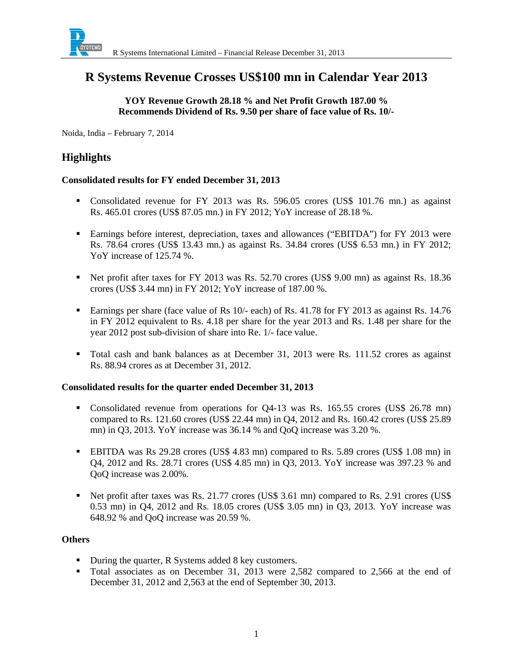

# **R Systems Revenue Crosses US\$100 mn in Calendar Year 2013**

### **YOY Revenue Growth 28.18 % and Net Profit Growth 187.00 % Recommends Dividend of Rs. 9.50 per share of face value of Rs. 10/-**

Noida, India – February 7, 2014

# **Highlights**

#### **Consolidated results for FY ended December 31, 2013**

- Consolidated revenue for FY 2013 was Rs. 596.05 crores (US\$ 101.76 mn.) as against Rs. 465.01 crores (US\$ 87.05 mn.) in FY 2012; YoY increase of 28.18 %.
- Earnings before interest, depreciation, taxes and allowances ("EBITDA") for FY 2013 were Rs. 78.64 crores (US\$ 13.43 mn.) as against Rs. 34.84 crores (US\$ 6.53 mn.) in FY 2012; YoY increase of 125.74 %.
- Net profit after taxes for FY 2013 was Rs. 52.70 crores (US\$ 9.00 mn) as against Rs. 18.36 crores (US\$ 3.44 mn) in FY 2012; YoY increase of 187.00 %.
- **Earnings per share (face value of Rs 10/- each) of Rs. 41.78 for FY 2013 as against Rs. 14.76** in FY 2012 equivalent to Rs. 4.18 per share for the year 2013 and Rs. 1.48 per share for the year 2012 post sub-division of share into Re. 1/- face value.
- Total cash and bank balances as at December 31, 2013 were Rs. 111.52 crores as against Rs. 88.94 crores as at December 31, 2012.

#### **Consolidated results for the quarter ended December 31, 2013**

- Consolidated revenue from operations for Q4-13 was Rs. 165.55 crores (US\$ 26.78 mn) compared to Rs. 121.60 crores (US\$ 22.44 mn) in Q4, 2012 and Rs. 160.42 crores (US\$ 25.89 mn) in Q3, 2013. YoY increase was 36.14 % and QoQ increase was 3.20 %.
- EBITDA was Rs 29.28 crores (US\$ 4.83 mn) compared to Rs. 5.89 crores (US\$ 1.08 mn) in Q4, 2012 and Rs. 28.71 crores (US\$ 4.85 mn) in Q3, 2013. YoY increase was 397.23 % and QoQ increase was 2.00%.
- Net profit after taxes was Rs. 21.77 crores (US\$ 3.61 mn) compared to Rs. 2.91 crores (US\$ 0.53 mn) in Q4, 2012 and Rs. 18.05 crores (US\$ 3.05 mn) in Q3, 2013. YoY increase was 648.92 % and QoQ increase was 20.59 %.

#### **Others**

- During the quarter, R Systems added 8 key customers.
- Total associates as on December 31, 2013 were 2,582 compared to 2,566 at the end of December 31, 2012 and 2,563 at the end of September 30, 2013.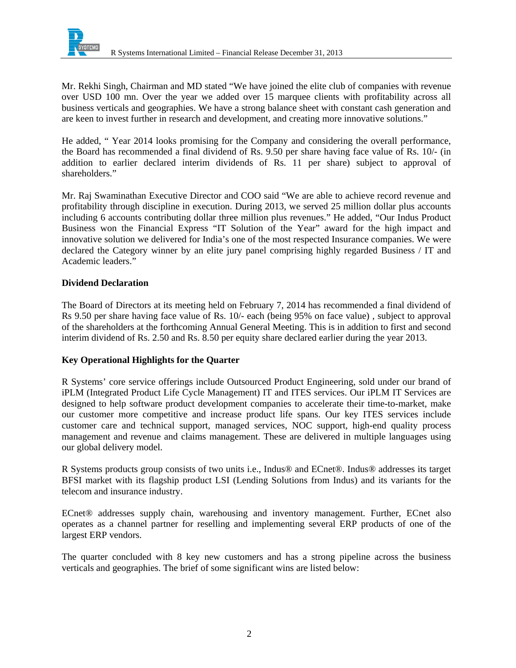

Mr. Rekhi Singh, Chairman and MD stated "We have joined the elite club of companies with revenue over USD 100 mn. Over the year we added over 15 marquee clients with profitability across all business verticals and geographies. We have a strong balance sheet with constant cash generation and are keen to invest further in research and development, and creating more innovative solutions."

He added, " Year 2014 looks promising for the Company and considering the overall performance, the Board has recommended a final dividend of Rs. 9.50 per share having face value of Rs. 10/- (in addition to earlier declared interim dividends of Rs. 11 per share) subject to approval of shareholders<sup>"</sup>

Mr. Raj Swaminathan Executive Director and COO said "We are able to achieve record revenue and profitability through discipline in execution. During 2013, we served 25 million dollar plus accounts including 6 accounts contributing dollar three million plus revenues." He added, "Our Indus Product Business won the Financial Express "IT Solution of the Year" award for the high impact and innovative solution we delivered for India's one of the most respected Insurance companies. We were declared the Category winner by an elite jury panel comprising highly regarded Business / IT and Academic leaders."

### **Dividend Declaration**

The Board of Directors at its meeting held on February 7, 2014 has recommended a final dividend of Rs 9.50 per share having face value of Rs. 10/- each (being 95% on face value) , subject to approval of the shareholders at the forthcoming Annual General Meeting. This is in addition to first and second interim dividend of Rs. 2.50 and Rs. 8.50 per equity share declared earlier during the year 2013.

### **Key Operational Highlights for the Quarter**

R Systems' core service offerings include Outsourced Product Engineering, sold under our brand of iPLM (Integrated Product Life Cycle Management) IT and ITES services. Our iPLM IT Services are designed to help software product development companies to accelerate their time-to-market, make our customer more competitive and increase product life spans. Our key ITES services include customer care and technical support, managed services, NOC support, high-end quality process management and revenue and claims management. These are delivered in multiple languages using our global delivery model.

R Systems products group consists of two units i.e., Indus® and ECnet®. Indus® addresses its target BFSI market with its flagship product LSI (Lending Solutions from Indus) and its variants for the telecom and insurance industry.

ECnet® addresses supply chain, warehousing and inventory management. Further, ECnet also operates as a channel partner for reselling and implementing several ERP products of one of the largest ERP vendors.

The quarter concluded with 8 key new customers and has a strong pipeline across the business verticals and geographies. The brief of some significant wins are listed below: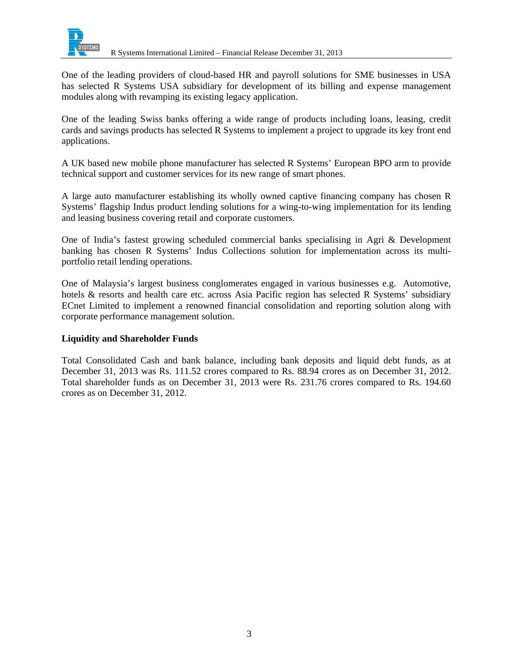

One of the leading providers of cloud-based HR and payroll solutions for SME businesses in USA has selected R Systems USA subsidiary for development of its billing and expense management modules along with revamping its existing legacy application.

One of the leading Swiss banks offering a wide range of products including loans, leasing, credit cards and savings products has selected R Systems to implement a project to upgrade its key front end applications.

A UK based new mobile phone manufacturer has selected R Systems' European BPO arm to provide technical support and customer services for its new range of smart phones.

A large auto manufacturer establishing its wholly owned captive financing company has chosen R Systems' flagship Indus product lending solutions for a wing-to-wing implementation for its lending and leasing business covering retail and corporate customers.

One of India's fastest growing scheduled commercial banks specialising in Agri & Development banking has chosen R Systems' Indus Collections solution for implementation across its multiportfolio retail lending operations.

One of Malaysia's largest business conglomerates engaged in various businesses e.g. Automotive, hotels & resorts and health care etc. across Asia Pacific region has selected R Systems' subsidiary ECnet Limited to implement a renowned financial consolidation and reporting solution along with corporate performance management solution.

### **Liquidity and Shareholder Funds**

Total Consolidated Cash and bank balance, including bank deposits and liquid debt funds, as at December 31, 2013 was Rs. 111.52 crores compared to Rs. 88.94 crores as on December 31, 2012. Total shareholder funds as on December 31, 2013 were Rs. 231.76 crores compared to Rs. 194.60 crores as on December 31, 2012.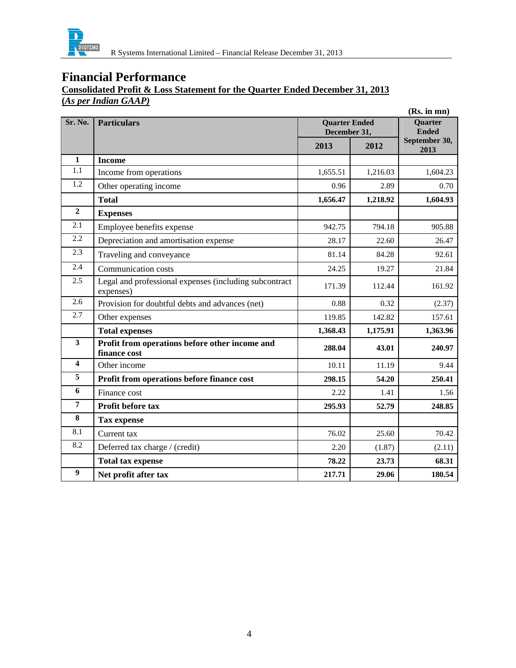

## **Consolidated Profit & Loss Statement for the Quarter Ended December 31, 2013 (***As per Indian GAAP)*

|                  |                                                                     |                                      |          | (Rs. in mn)                    |
|------------------|---------------------------------------------------------------------|--------------------------------------|----------|--------------------------------|
| Sr. No.          | <b>Particulars</b>                                                  | <b>Quarter Ended</b><br>December 31, |          | <b>Quarter</b><br><b>Ended</b> |
|                  |                                                                     | 2013                                 | 2012     | September 30,<br>2013          |
| $\mathbf{1}$     | <b>Income</b>                                                       |                                      |          |                                |
| 1.1              | Income from operations                                              | 1,655.51                             | 1,216.03 | 1,604.23                       |
| 1.2              | Other operating income                                              | 0.96                                 | 2.89     | 0.70                           |
|                  | <b>Total</b>                                                        | 1,656.47                             | 1,218.92 | 1,604.93                       |
| $\overline{2}$   | <b>Expenses</b>                                                     |                                      |          |                                |
| 2.1              | Employee benefits expense                                           | 942.75                               | 794.18   | 905.88                         |
| 2.2              | Depreciation and amortisation expense                               | 28.17                                | 22.60    | 26.47                          |
| 2.3              | Traveling and conveyance                                            | 81.14                                | 84.28    | 92.61                          |
| 2.4              | Communication costs                                                 | 24.25                                | 19.27    | 21.84                          |
| $\overline{2.5}$ | Legal and professional expenses (including subcontract<br>expenses) | 171.39                               | 112.44   | 161.92                         |
| 2.6              | Provision for doubtful debts and advances (net)                     | 0.88                                 | 0.32     | (2.37)                         |
| 2.7              | Other expenses                                                      | 119.85                               | 142.82   | 157.61                         |
|                  | <b>Total expenses</b>                                               | 1,368.43                             | 1,175.91 | 1,363.96                       |
| 3                | Profit from operations before other income and<br>finance cost      | 288.04                               | 43.01    | 240.97                         |
| 4                | Other income                                                        | 10.11                                | 11.19    | 9.44                           |
| 5                | Profit from operations before finance cost                          | 298.15                               | 54.20    | 250.41                         |
| 6                | Finance cost                                                        | 2.22                                 | 1.41     | 1.56                           |
| 7                | Profit before tax                                                   | 295.93                               | 52.79    | 248.85                         |
| 8                | <b>Tax expense</b>                                                  |                                      |          |                                |
| 8.1              | Current tax                                                         | 76.02                                | 25.60    | 70.42                          |
| 8.2              | Deferred tax charge / (credit)                                      | 2.20                                 | (1.87)   | (2.11)                         |
|                  | <b>Total tax expense</b>                                            | 78.22                                | 23.73    | 68.31                          |
| $\boldsymbol{9}$ | Net profit after tax                                                | 217.71                               | 29.06    | 180.54                         |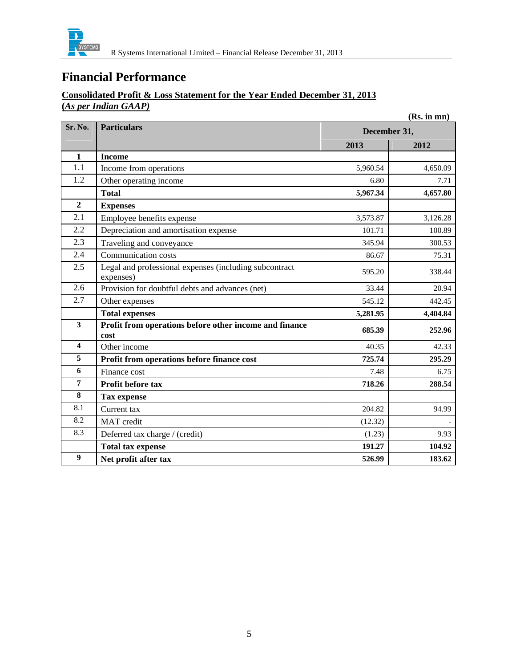

### **Consolidated Profit & Loss Statement for the Year Ended December 31, 2013 (***As per Indian GAAP)*

|                         |                                                                     |              | (Rs. in mn) |
|-------------------------|---------------------------------------------------------------------|--------------|-------------|
| Sr. No.                 | <b>Particulars</b>                                                  | December 31, |             |
|                         |                                                                     | 2013         | 2012        |
| 1                       | <b>Income</b>                                                       |              |             |
| 1.1                     | Income from operations                                              | 5,960.54     | 4,650.09    |
| 1.2                     | Other operating income                                              | 6.80         | 7.71        |
|                         | <b>Total</b>                                                        | 5,967.34     | 4,657.80    |
| $\overline{2}$          | <b>Expenses</b>                                                     |              |             |
| 2.1                     | Employee benefits expense                                           | 3,573.87     | 3,126.28    |
| 2.2                     | Depreciation and amortisation expense                               | 101.71       | 100.89      |
| 2.3                     | Traveling and conveyance                                            | 345.94       | 300.53      |
| 2.4                     | Communication costs                                                 | 86.67        | 75.31       |
| 2.5                     | Legal and professional expenses (including subcontract<br>expenses) | 595.20       | 338.44      |
| 2.6                     | Provision for doubtful debts and advances (net)                     | 33.44        | 20.94       |
| 2.7                     | Other expenses                                                      | 545.12       | 442.45      |
|                         | <b>Total expenses</b>                                               | 5,281.95     | 4,404.84    |
| $\overline{\mathbf{3}}$ | Profit from operations before other income and finance<br>cost      | 685.39       | 252.96      |
| $\overline{\mathbf{4}}$ | Other income                                                        | 40.35        | 42.33       |
| 5                       | Profit from operations before finance cost                          | 725.74       | 295.29      |
| 6                       | Finance cost                                                        | 7.48         | 6.75        |
| $\overline{7}$          | Profit before tax                                                   | 718.26       | 288.54      |
| 8                       | <b>Tax expense</b>                                                  |              |             |
| 8.1                     | Current tax                                                         | 204.82       | 94.99       |
| 8.2                     | MAT credit                                                          | (12.32)      |             |
| 8.3                     | Deferred tax charge / (credit)                                      | (1.23)       | 9.93        |
|                         | <b>Total tax expense</b>                                            | 191.27       | 104.92      |
| $\boldsymbol{9}$        | Net profit after tax                                                | 526.99       | 183.62      |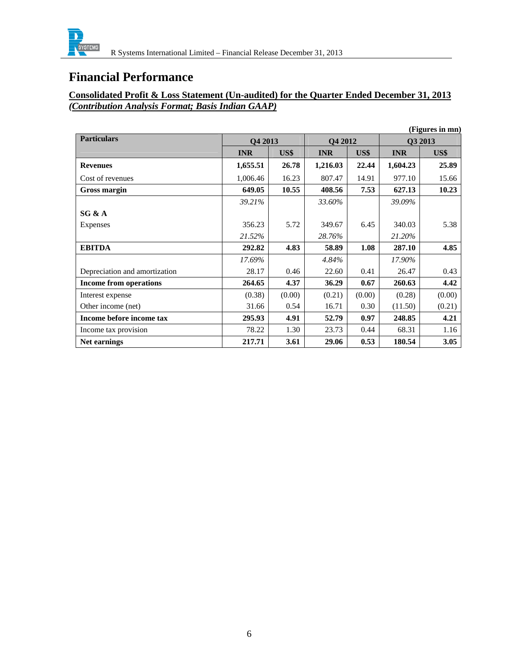

### **Consolidated Profit & Loss Statement (Un-audited) for the Quarter Ended December 31, 2013** *(Contribution Analysis Format; Basis Indian GAAP)*

|                               |            |        |            |        |            | (Figures in mn) |
|-------------------------------|------------|--------|------------|--------|------------|-----------------|
| <b>Particulars</b>            | Q4 2013    |        | Q4 2012    |        | Q3 2013    |                 |
|                               | <b>INR</b> | US\$   | <b>INR</b> | US\$   | <b>INR</b> | US\$            |
| <b>Revenues</b>               | 1,655.51   | 26.78  | 1,216.03   | 22.44  | 1,604.23   | 25.89           |
| Cost of revenues              | 1,006.46   | 16.23  | 807.47     | 14.91  | 977.10     | 15.66           |
| Gross margin                  | 649.05     | 10.55  | 408.56     | 7.53   | 627.13     | 10.23           |
|                               | 39.21%     |        | 33.60%     |        | 39.09%     |                 |
| SG & A                        |            |        |            |        |            |                 |
| Expenses                      | 356.23     | 5.72   | 349.67     | 6.45   | 340.03     | 5.38            |
|                               | 21.52%     |        | 28.76%     |        | 21.20%     |                 |
| <b>EBITDA</b>                 | 292.82     | 4.83   | 58.89      | 1.08   | 287.10     | 4.85            |
|                               | 17.69%     |        | 4.84%      |        | 17.90%     |                 |
| Depreciation and amortization | 28.17      | 0.46   | 22.60      | 0.41   | 26.47      | 0.43            |
| <b>Income from operations</b> | 264.65     | 4.37   | 36.29      | 0.67   | 260.63     | 4.42            |
| Interest expense              | (0.38)     | (0.00) | (0.21)     | (0.00) | (0.28)     | (0.00)          |
| Other income (net)            | 31.66      | 0.54   | 16.71      | 0.30   | (11.50)    | (0.21)          |
| Income before income tax      | 295.93     | 4.91   | 52.79      | 0.97   | 248.85     | 4.21            |
| Income tax provision          | 78.22      | 1.30   | 23.73      | 0.44   | 68.31      | 1.16            |
| Net earnings                  | 217.71     | 3.61   | 29.06      | 0.53   | 180.54     | 3.05            |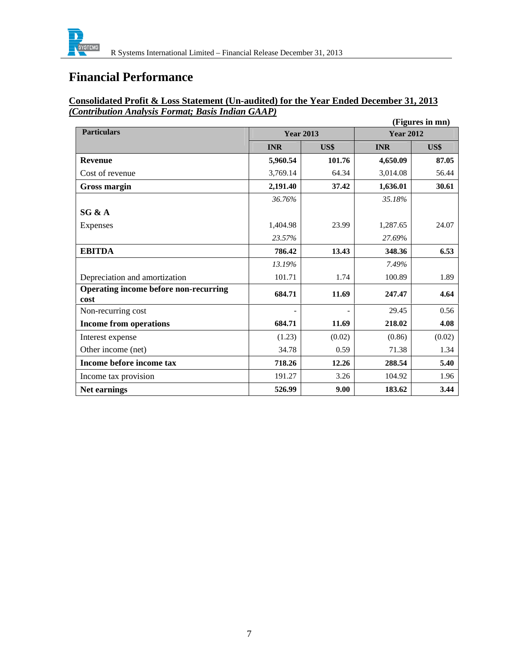

# **Consolidated Profit & Loss Statement (Un-audited) for the Year Ended December 31, 2013** *(Contribution Analysis Format; Basis Indian GAAP)*

|                                               |                  |        |                  | (Figures in mn) |
|-----------------------------------------------|------------------|--------|------------------|-----------------|
| <b>Particulars</b>                            | <b>Year 2013</b> |        | <b>Year 2012</b> |                 |
|                                               | <b>INR</b>       | US\$   | <b>INR</b>       | US\$            |
| <b>Revenue</b>                                | 5,960.54         | 101.76 | 4,650.09         | 87.05           |
| Cost of revenue                               | 3,769.14         | 64.34  | 3,014.08         | 56.44           |
| Gross margin                                  | 2,191.40         | 37.42  | 1,636.01         | 30.61           |
|                                               | 36.76%           |        | 35.18%           |                 |
| SG & A                                        |                  |        |                  |                 |
| Expenses                                      | 1,404.98         | 23.99  | 1,287.65         | 24.07           |
|                                               | 23.57%           |        | 27.69%           |                 |
| <b>EBITDA</b>                                 | 786.42           | 13.43  | 348.36           | 6.53            |
|                                               | 13.19%           |        | 7.49%            |                 |
| Depreciation and amortization                 | 101.71           | 1.74   | 100.89           | 1.89            |
| Operating income before non-recurring<br>cost | 684.71           | 11.69  | 247.47           | 4.64            |
| Non-recurring cost                            |                  |        | 29.45            | 0.56            |
| <b>Income from operations</b>                 | 684.71           | 11.69  | 218.02           | 4.08            |
| Interest expense                              | (1.23)           | (0.02) | (0.86)           | (0.02)          |
| Other income (net)                            | 34.78            | 0.59   | 71.38            | 1.34            |
| Income before income tax                      | 718.26           | 12.26  | 288.54           | 5.40            |
| Income tax provision                          | 191.27           | 3.26   | 104.92           | 1.96            |
| Net earnings                                  | 526.99           | 9.00   | 183.62           | 3.44            |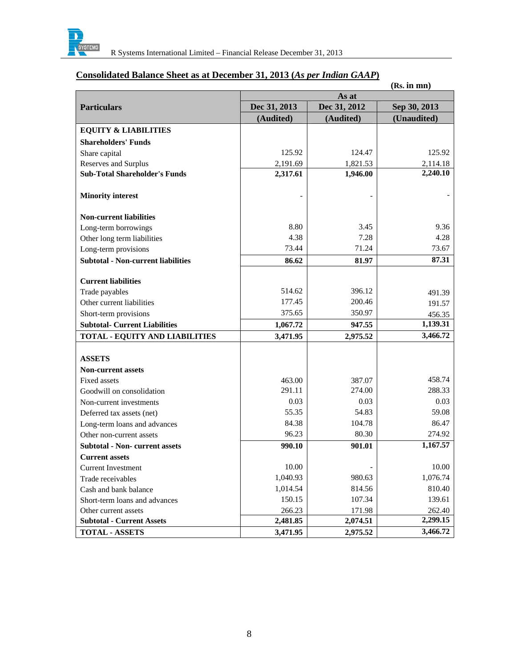

| (Rs. in mn)                               |              |              |              |  |  |
|-------------------------------------------|--------------|--------------|--------------|--|--|
|                                           | As at        |              |              |  |  |
| <b>Particulars</b>                        | Dec 31, 2013 | Dec 31, 2012 | Sep 30, 2013 |  |  |
|                                           | (Audited)    | (Audited)    | (Unaudited)  |  |  |
| <b>EQUITY &amp; LIABILITIES</b>           |              |              |              |  |  |
| <b>Shareholders' Funds</b>                |              |              |              |  |  |
| Share capital                             | 125.92       | 124.47       | 125.92       |  |  |
| Reserves and Surplus                      | 2,191.69     | 1,821.53     | 2,114.18     |  |  |
| <b>Sub-Total Shareholder's Funds</b>      | 2,317.61     | 1,946.00     | 2,240.10     |  |  |
| <b>Minority interest</b>                  |              |              |              |  |  |
| <b>Non-current liabilities</b>            |              |              |              |  |  |
| Long-term borrowings                      | 8.80         | 3.45         | 9.36         |  |  |
| Other long term liabilities               | 4.38         | 7.28         | 4.28         |  |  |
| Long-term provisions                      | 73.44        | 71.24        | 73.67        |  |  |
| <b>Subtotal - Non-current liabilities</b> | 86.62        | 81.97        | 87.31        |  |  |
| <b>Current liabilities</b>                |              |              |              |  |  |
| Trade payables                            | 514.62       | 396.12       | 491.39       |  |  |
| Other current liabilities                 | 177.45       | 200.46       | 191.57       |  |  |
| Short-term provisions                     | 375.65       | 350.97       | 456.35       |  |  |
| <b>Subtotal- Current Liabilities</b>      | 1,067.72     | 947.55       | 1,139.31     |  |  |
| <b>TOTAL - EQUITY AND LIABILITIES</b>     | 3,471.95     | 2,975.52     | 3,466.72     |  |  |
|                                           |              |              |              |  |  |
| <b>ASSETS</b>                             |              |              |              |  |  |
| <b>Non-current assets</b>                 |              |              |              |  |  |
| <b>Fixed assets</b>                       | 463.00       | 387.07       | 458.74       |  |  |
| Goodwill on consolidation                 | 291.11       | 274.00       | 288.33       |  |  |
| Non-current investments                   | 0.03         | 0.03         | 0.03         |  |  |
| Deferred tax assets (net)                 | 55.35        | 54.83        | 59.08        |  |  |
| Long-term loans and advances              | 84.38        | 104.78       | 86.47        |  |  |
| Other non-current assets                  | 96.23        | 80.30        | 274.92       |  |  |
| <b>Subtotal - Non- current assets</b>     | 990.10       | 901.01       | 1,167.57     |  |  |
| <b>Current assets</b>                     |              |              |              |  |  |
| <b>Current Investment</b>                 | 10.00        |              | 10.00        |  |  |
| Trade receivables                         | 1,040.93     | 980.63       | 1,076.74     |  |  |
| Cash and bank balance                     | 1,014.54     | 814.56       | 810.40       |  |  |
| Short-term loans and advances             | 150.15       | 107.34       | 139.61       |  |  |
| Other current assets                      | 266.23       | 171.98       | 262.40       |  |  |
| <b>Subtotal - Current Assets</b>          | 2,481.85     | 2,074.51     | 2,299.15     |  |  |
| <b>TOTAL - ASSETS</b>                     | 3,471.95     | 2,975.52     | 3,466.72     |  |  |

# **Consolidated Balance Sheet as at December 31, 2013 (***As per Indian GAAP***)**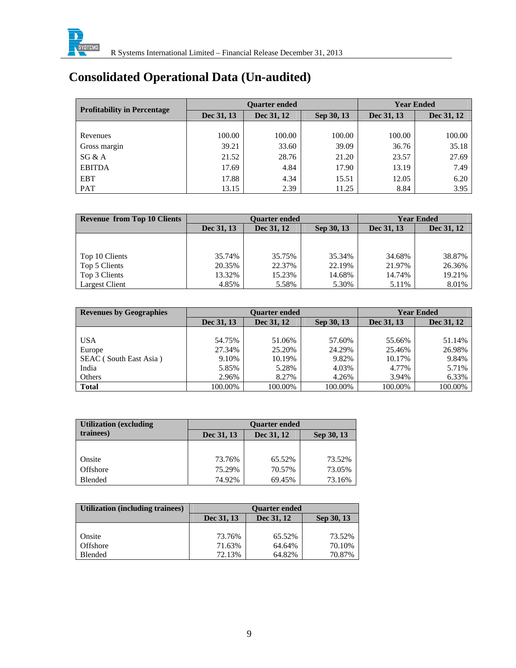

# **Consolidated Operational Data (Un-audited)**

| <b>Profitability in Percentage</b> |            | <b>Ouarter ended</b> | <b>Year Ended</b> |            |            |
|------------------------------------|------------|----------------------|-------------------|------------|------------|
|                                    | Dec 31, 13 | Dec 31, 12           | Sep 30, 13        | Dec 31, 13 | Dec 31, 12 |
|                                    |            |                      |                   |            |            |
| Revenues                           | 100.00     | 100.00               | 100.00            | 100.00     | 100.00     |
| Gross margin                       | 39.21      | 33.60                | 39.09             | 36.76      | 35.18      |
| SG & A                             | 21.52      | 28.76                | 21.20             | 23.57      | 27.69      |
| <b>EBITDA</b>                      | 17.69      | 4.84                 | 17.90             | 13.19      | 7.49       |
| <b>EBT</b>                         | 17.88      | 4.34                 | 15.51             | 12.05      | 6.20       |
| <b>PAT</b>                         | 13.15      | 2.39                 | 11.25             | 8.84       | 3.95       |

| <b>Revenue from Top 10 Clients</b> | <b>Ouarter ended</b> |                          |        | <b>Year Ended</b> |            |
|------------------------------------|----------------------|--------------------------|--------|-------------------|------------|
|                                    | Dec 31, 13           | Dec 31, 12<br>Sep 30, 13 |        |                   | Dec 31, 12 |
|                                    |                      |                          |        |                   |            |
|                                    |                      |                          |        |                   |            |
| Top 10 Clients                     | 35.74%               | 35.75%                   | 35.34% | 34.68%            | 38.87%     |
| Top 5 Clients                      | 20.35%               | 22.37%                   | 22.19% | 21.97%            | 26.36%     |
| Top 3 Clients                      | 13.32%               | 15.23%                   | 14.68% | 14.74%            | 19.21%     |
| Largest Client                     | 4.85%                | 5.58%                    | 5.30%  | 5.11%             | 8.01%      |

| <b>Revenues by Geographies</b> | <b>Ouarter ended</b> |            |            |            | <b>Year Ended</b> |
|--------------------------------|----------------------|------------|------------|------------|-------------------|
|                                | Dec 31, 13           | Dec 31, 12 | Sep 30, 13 | Dec 31, 13 | Dec 31, 12        |
|                                |                      |            |            |            |                   |
| <b>USA</b>                     | 54.75%               | 51.06%     | 57.60%     | 55.66%     | 51.14%            |
| Europe                         | 27.34%               | 25.20%     | 24.29%     | 25.46%     | 26.98%            |
| SEAC (South East Asia)         | 9.10%                | 10.19%     | 9.82%      | 10.17%     | 9.84%             |
| India                          | 5.85%                | 5.28%      | 4.03%      | 4.77%      | 5.71%             |
| Others                         | 2.96%                | 8.27%      | 4.26%      | 3.94%      | 6.33%             |
| <b>Total</b>                   | 100.00%              | 100.00%    | 100.00%    | 100.00%    | 100.00%           |

| <b>Utilization (excluding)</b> | <b>Ouarter ended</b>                   |        |        |  |  |  |
|--------------------------------|----------------------------------------|--------|--------|--|--|--|
| trainees)                      | Dec 31, 13<br>Dec 31, 12<br>Sep 30, 13 |        |        |  |  |  |
|                                |                                        |        |        |  |  |  |
| Onsite                         | 73.76%                                 | 65.52% | 73.52% |  |  |  |
| Offshore                       | 75.29%                                 | 70.57% | 73.05% |  |  |  |
| Blended                        | 74.92%                                 | 69.45% | 73.16% |  |  |  |

| Utilization (including trainees) | <b>Ouarter ended</b>                   |        |        |  |  |  |
|----------------------------------|----------------------------------------|--------|--------|--|--|--|
|                                  | Dec 31, 13<br>Dec 31, 12<br>Sep 30, 13 |        |        |  |  |  |
|                                  |                                        |        |        |  |  |  |
| Onsite                           | 73.76%                                 | 65.52% | 73.52% |  |  |  |
| Offshore                         | 71.63%                                 | 64.64% | 70.10% |  |  |  |
| Blended                          | 72.13%                                 | 64.82% | 70.87% |  |  |  |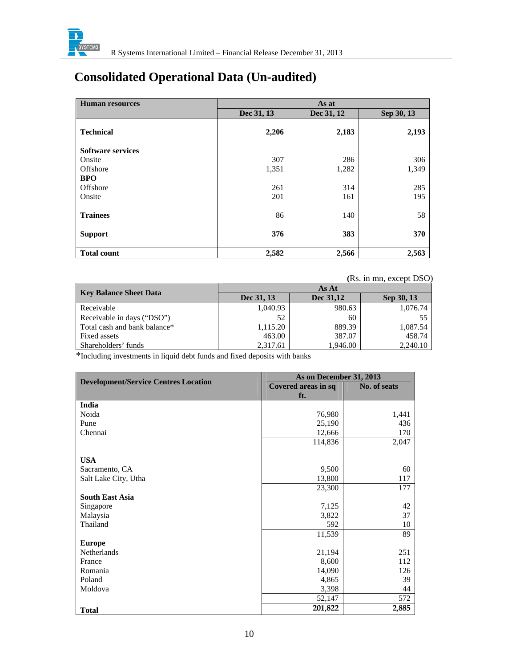

# **Consolidated Operational Data (Un-audited)**

| <b>Human resources</b>   | As at      |            |            |  |  |
|--------------------------|------------|------------|------------|--|--|
|                          | Dec 31, 13 | Dec 31, 12 | Sep 30, 13 |  |  |
| <b>Technical</b>         | 2,206      | 2,183      | 2,193      |  |  |
| <b>Software services</b> |            |            |            |  |  |
| Onsite                   | 307        | 286        | 306        |  |  |
| Offshore                 | 1,351      | 1,282      | 1,349      |  |  |
| <b>BPO</b>               |            |            |            |  |  |
| Offshore                 | 261        | 314        | 285        |  |  |
| Onsite                   | 201        | 161        | 195        |  |  |
| <b>Trainees</b>          | 86         | 140        | 58         |  |  |
| <b>Support</b>           | 376        | 383        | 370        |  |  |
| <b>Total count</b>       | 2,582      | 2,566      | 2,563      |  |  |

 **(**Rs. in mn, except DSO)

| Key Balance Sheet Data       | As At      |           |            |  |  |  |
|------------------------------|------------|-----------|------------|--|--|--|
|                              | Dec 31, 13 | Dec 31,12 | Sep 30, 13 |  |  |  |
| Receivable                   | 1,040.93   | 980.63    | 1,076.74   |  |  |  |
| Receivable in days ("DSO")   | 52         | 60        |            |  |  |  |
| Total cash and bank balance* | 1,115.20   | 889.39    | 1,087.54   |  |  |  |
| Fixed assets                 | 463.00     | 387.07    | 458.74     |  |  |  |
| Shareholders' funds          | 2,317.61   | 1,946.00  | 2,240.10   |  |  |  |

\*Including investments in liquid debt funds and fixed deposits with banks

| <b>Development/Service Centres Location</b> | As on December 31, 2013 |              |
|---------------------------------------------|-------------------------|--------------|
|                                             | Covered areas in sq     | No. of seats |
|                                             | ft.                     |              |
| India                                       |                         |              |
| Noida                                       | 76,980                  | 1,441        |
| Pune                                        | 25,190                  | 436          |
| Chennai                                     | 12,666                  | 170          |
|                                             | 114,836                 | 2,047        |
|                                             |                         |              |
| <b>USA</b>                                  |                         |              |
| Sacramento, CA                              | 9,500                   | 60           |
| Salt Lake City, Utha                        | 13,800                  | 117          |
|                                             | 23,300                  | 177          |
| <b>South East Asia</b>                      |                         |              |
| Singapore                                   | 7,125                   | 42           |
| Malaysia                                    | 3,822                   | 37           |
| Thailand                                    | 592                     | 10           |
|                                             | 11,539                  | 89           |
| <b>Europe</b>                               |                         |              |
| Netherlands                                 | 21,194                  | 251          |
| France                                      | 8,600                   | 112          |
| Romania                                     | 14,090                  | 126          |
| Poland                                      | 4,865                   | 39           |
| Moldova                                     | 3,398                   | 44           |
|                                             | 52,147                  | 572          |
| <b>Total</b>                                | 201,822                 | 2,885        |